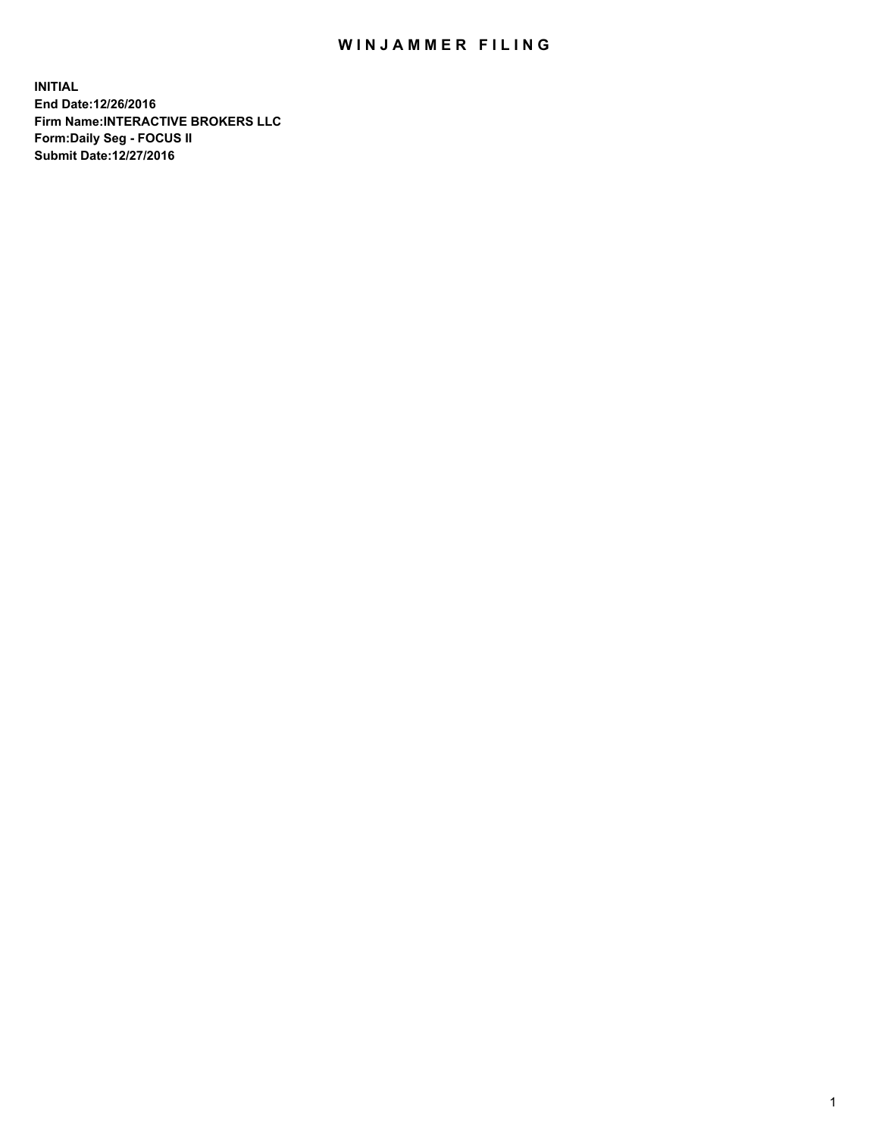## WIN JAMMER FILING

**INITIAL End Date:12/26/2016 Firm Name:INTERACTIVE BROKERS LLC Form:Daily Seg - FOCUS II Submit Date:12/27/2016**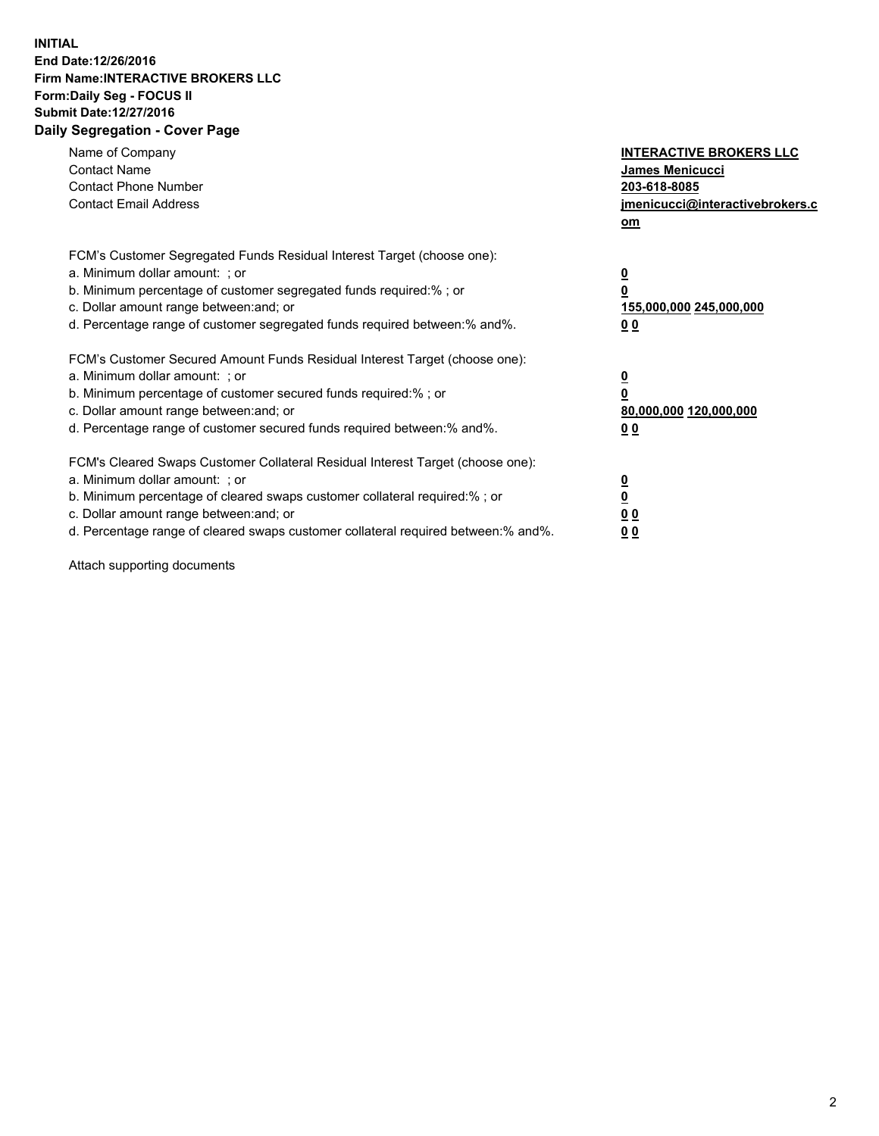## **INITIAL End Date:12/26/2016 Firm Name:INTERACTIVE BROKERS LLC Form:Daily Seg - FOCUS II Submit Date:12/27/2016 Daily Segregation - Cover Page**

| Name of Company<br><b>Contact Name</b><br><b>Contact Phone Number</b><br><b>Contact Email Address</b>                                                                                                                                                                                                                          | <b>INTERACTIVE BROKERS LLC</b><br><b>James Menicucci</b><br>203-618-8085<br>jmenicucci@interactivebrokers.c<br>om |
|--------------------------------------------------------------------------------------------------------------------------------------------------------------------------------------------------------------------------------------------------------------------------------------------------------------------------------|-------------------------------------------------------------------------------------------------------------------|
| FCM's Customer Segregated Funds Residual Interest Target (choose one):<br>a. Minimum dollar amount: ; or<br>b. Minimum percentage of customer segregated funds required:%; or<br>c. Dollar amount range between: and; or<br>d. Percentage range of customer segregated funds required between:% and%.                          | $\overline{\mathbf{0}}$<br>0<br>155,000,000 245,000,000<br>00                                                     |
| FCM's Customer Secured Amount Funds Residual Interest Target (choose one):<br>a. Minimum dollar amount: ; or<br>b. Minimum percentage of customer secured funds required:%; or<br>c. Dollar amount range between: and; or<br>d. Percentage range of customer secured funds required between: % and %.                          | $\overline{\mathbf{0}}$<br>0<br>80,000,000 120,000,000<br>0 <sub>0</sub>                                          |
| FCM's Cleared Swaps Customer Collateral Residual Interest Target (choose one):<br>a. Minimum dollar amount: ; or<br>b. Minimum percentage of cleared swaps customer collateral required:% ; or<br>c. Dollar amount range between: and; or<br>d. Percentage range of cleared swaps customer collateral required between:% and%. | $\overline{\mathbf{0}}$<br>$\overline{\mathbf{0}}$<br>0 <sub>0</sub><br><u>00</u>                                 |

Attach supporting documents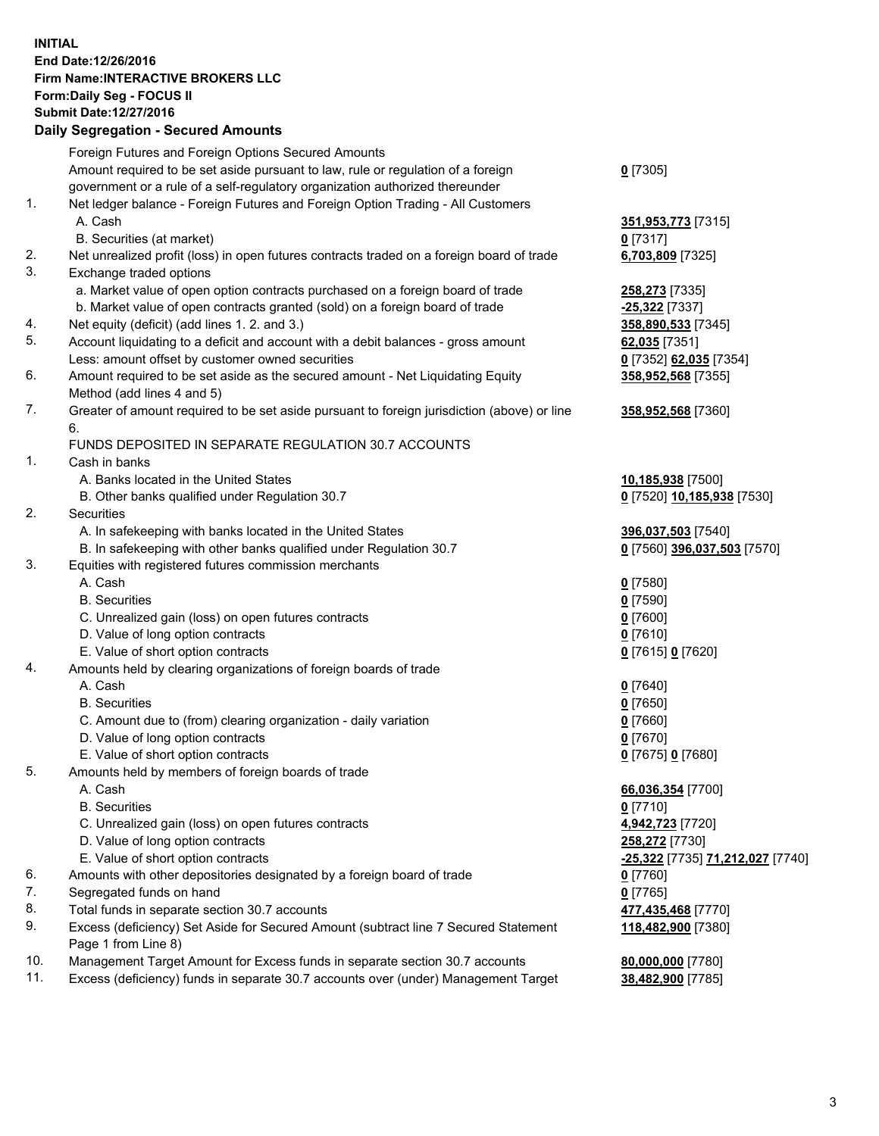## **INITIAL End Date:12/26/2016 Firm Name:INTERACTIVE BROKERS LLC Form:Daily Seg - FOCUS II Submit Date:12/27/2016 Daily Segregation - Secured Amounts**

|                | Daily Segregation - Secured Amounts                                                                        |                                  |
|----------------|------------------------------------------------------------------------------------------------------------|----------------------------------|
|                | Foreign Futures and Foreign Options Secured Amounts                                                        |                                  |
|                | Amount required to be set aside pursuant to law, rule or regulation of a foreign                           | $0$ [7305]                       |
|                | government or a rule of a self-regulatory organization authorized thereunder                               |                                  |
| 1.             | Net ledger balance - Foreign Futures and Foreign Option Trading - All Customers                            |                                  |
|                | A. Cash                                                                                                    | 351,953,773 [7315]               |
|                | B. Securities (at market)                                                                                  | $0$ [7317]                       |
| 2.             | Net unrealized profit (loss) in open futures contracts traded on a foreign board of trade                  | 6,703,809 [7325]                 |
| 3.             | Exchange traded options                                                                                    |                                  |
|                | a. Market value of open option contracts purchased on a foreign board of trade                             | 258,273 [7335]                   |
|                | b. Market value of open contracts granted (sold) on a foreign board of trade                               | $-25,322$ [7337]                 |
| 4.             | Net equity (deficit) (add lines 1.2. and 3.)                                                               | 358,890,533 [7345]               |
| 5.             | Account liquidating to a deficit and account with a debit balances - gross amount                          | 62,035 [7351]                    |
|                | Less: amount offset by customer owned securities                                                           | 0 [7352] 62,035 [7354]           |
| 6.             | Amount required to be set aside as the secured amount - Net Liquidating Equity                             | 358,952,568 [7355]               |
|                | Method (add lines 4 and 5)                                                                                 |                                  |
| 7.             | Greater of amount required to be set aside pursuant to foreign jurisdiction (above) or line                | 358,952,568 [7360]               |
|                | 6.                                                                                                         |                                  |
|                | FUNDS DEPOSITED IN SEPARATE REGULATION 30.7 ACCOUNTS                                                       |                                  |
| $\mathbf{1}$ . | Cash in banks                                                                                              |                                  |
|                | A. Banks located in the United States                                                                      | 10,185,938 [7500]                |
|                | B. Other banks qualified under Regulation 30.7                                                             | 0 [7520] 10,185,938 [7530]       |
| 2.             | Securities                                                                                                 |                                  |
|                | A. In safekeeping with banks located in the United States                                                  | 396,037,503 [7540]               |
|                | B. In safekeeping with other banks qualified under Regulation 30.7                                         | 0 [7560] 396,037,503 [7570]      |
| 3.             | Equities with registered futures commission merchants                                                      |                                  |
|                | A. Cash                                                                                                    | $0$ [7580]                       |
|                | <b>B.</b> Securities                                                                                       | $0$ [7590]                       |
|                | C. Unrealized gain (loss) on open futures contracts                                                        | $0$ [7600]                       |
|                | D. Value of long option contracts                                                                          | $0$ [7610]                       |
|                | E. Value of short option contracts                                                                         | 0 [7615] 0 [7620]                |
| 4.             | Amounts held by clearing organizations of foreign boards of trade                                          |                                  |
|                | A. Cash                                                                                                    | $0$ [7640]                       |
|                | <b>B.</b> Securities                                                                                       | $0$ [7650]                       |
|                | C. Amount due to (from) clearing organization - daily variation                                            | $0$ [7660]                       |
|                | D. Value of long option contracts                                                                          | $0$ [7670]                       |
|                | E. Value of short option contracts                                                                         | 0 [7675] 0 [7680]                |
| 5.             | Amounts held by members of foreign boards of trade                                                         |                                  |
|                | A. Cash                                                                                                    | 66,036,354 [7700]                |
|                | <b>B.</b> Securities                                                                                       | $0$ [7710]                       |
|                | C. Unrealized gain (loss) on open futures contracts                                                        | 4,942,723 [7720]                 |
|                | D. Value of long option contracts                                                                          | 258,272 [7730]                   |
|                | E. Value of short option contracts                                                                         | -25,322 [7735] 71,212,027 [7740] |
| 6.             | Amounts with other depositories designated by a foreign board of trade                                     | 0 [7760]                         |
| 7.             | Segregated funds on hand                                                                                   | $0$ [7765]                       |
| 8.             | Total funds in separate section 30.7 accounts                                                              | 477,435,468 [7770]               |
| 9.             | Excess (deficiency) Set Aside for Secured Amount (subtract line 7 Secured Statement<br>Page 1 from Line 8) | 118,482,900 [7380]               |
| 10.            | Management Target Amount for Excess funds in separate section 30.7 accounts                                | 80,000,000 [7780]                |
| 11.            | Excess (deficiency) funds in separate 30.7 accounts over (under) Management Target                         | 38,482,900 [7785]                |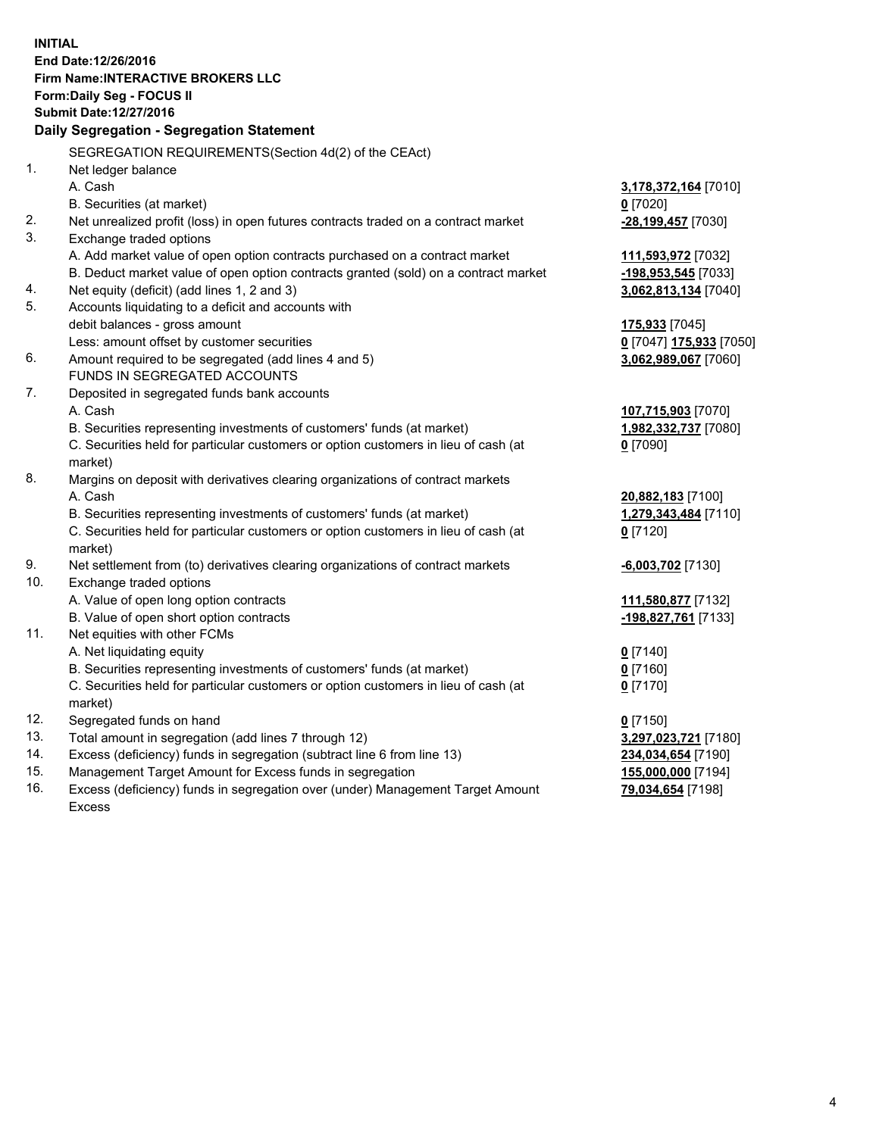**INITIAL End Date:12/26/2016 Firm Name:INTERACTIVE BROKERS LLC Form:Daily Seg - FOCUS II Submit Date:12/27/2016 Daily Segregation - Segregation Statement** SEGREGATION REQUIREMENTS(Section 4d(2) of the CEAct) 1. Net ledger balance A. Cash **3,178,372,164** [7010] B. Securities (at market) **0** [7020] 2. Net unrealized profit (loss) in open futures contracts traded on a contract market **-28,199,457** [7030] 3. Exchange traded options A. Add market value of open option contracts purchased on a contract market **111,593,972** [7032] B. Deduct market value of open option contracts granted (sold) on a contract market **-198,953,545** [7033] 4. Net equity (deficit) (add lines 1, 2 and 3) **3,062,813,134** [7040] 5. Accounts liquidating to a deficit and accounts with debit balances - gross amount **175,933** [7045] Less: amount offset by customer securities **0** [7047] **175,933** [7050] 6. Amount required to be segregated (add lines 4 and 5) **3,062,989,067** [7060] FUNDS IN SEGREGATED ACCOUNTS 7. Deposited in segregated funds bank accounts A. Cash **107,715,903** [7070] B. Securities representing investments of customers' funds (at market) **1,982,332,737** [7080] C. Securities held for particular customers or option customers in lieu of cash (at market) **0** [7090] 8. Margins on deposit with derivatives clearing organizations of contract markets A. Cash **20,882,183** [7100] B. Securities representing investments of customers' funds (at market) **1,279,343,484** [7110] C. Securities held for particular customers or option customers in lieu of cash (at market) **0** [7120] 9. Net settlement from (to) derivatives clearing organizations of contract markets **-6,003,702** [7130] 10. Exchange traded options A. Value of open long option contracts **111,580,877** [7132] B. Value of open short option contracts **-198,827,761** [7133] 11. Net equities with other FCMs A. Net liquidating equity **0** [7140] B. Securities representing investments of customers' funds (at market) **0** [7160] C. Securities held for particular customers or option customers in lieu of cash (at market) **0** [7170] 12. Segregated funds on hand **0** [7150] 13. Total amount in segregation (add lines 7 through 12) **3,297,023,721** [7180] 14. Excess (deficiency) funds in segregation (subtract line 6 from line 13) **234,034,654** [7190] 15. Management Target Amount for Excess funds in segregation **155,000,000** [7194]

16. Excess (deficiency) funds in segregation over (under) Management Target Amount Excess

**79,034,654** [7198]